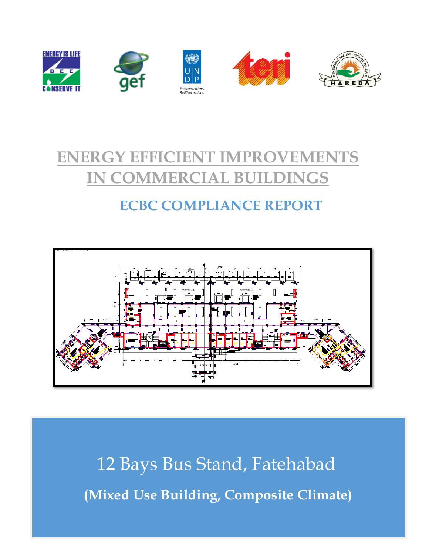

# **ENERGY EFFICIENT IMPROVEMENTS IN COMMERCIAL BUILDINGS**

# **ECBC COMPLIANCE REPORT**



12 Bays Bus Stand, Fatehabad **(Mixed Use Building, Composite Climate)**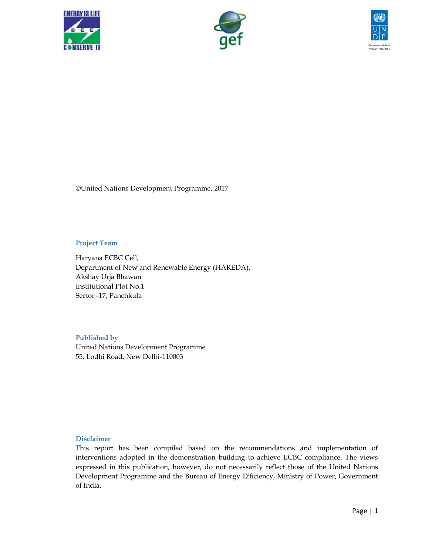





©United Nations Development Programme, 2017

#### **Project Team**

Haryana ECBC Cell, Department of New and Renewable Energy (HAREDA), Akshay Urja Bhawan Institutional Plot No.1 Sector -17, Panchkula

### **Published by**

United Nations Development Programme 55, Lodhi Road, New Delhi-110003

#### **Disclaimer**

This report has been compiled based on the recommendations and implementation of interventions adopted in the demonstration building to achieve ECBC compliance. The views expressed in this publication, however, do not necessarily reflect those of the United Nations Development Programme and the Bureau of Energy Efficiency, Ministry of Power, Government of India.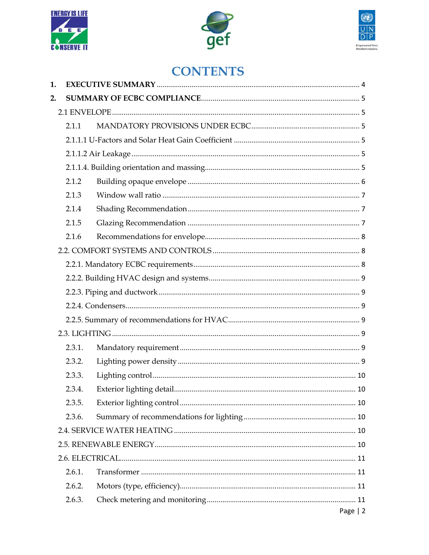





# **CONTENTS**

| 1. |        |           |  |  |  |  |
|----|--------|-----------|--|--|--|--|
| 2. |        |           |  |  |  |  |
|    |        |           |  |  |  |  |
|    | 2.1.1  |           |  |  |  |  |
|    |        |           |  |  |  |  |
|    |        |           |  |  |  |  |
|    |        |           |  |  |  |  |
|    | 2.1.2  |           |  |  |  |  |
|    | 2.1.3  |           |  |  |  |  |
|    | 2.1.4  |           |  |  |  |  |
|    | 2.1.5  |           |  |  |  |  |
|    | 2.1.6  |           |  |  |  |  |
|    |        |           |  |  |  |  |
|    |        |           |  |  |  |  |
|    |        |           |  |  |  |  |
|    |        |           |  |  |  |  |
|    |        |           |  |  |  |  |
|    |        |           |  |  |  |  |
|    |        |           |  |  |  |  |
|    | 2.3.1. |           |  |  |  |  |
|    | 2.3.2. |           |  |  |  |  |
|    | 2.3.3. |           |  |  |  |  |
|    | 2.3.4. |           |  |  |  |  |
|    | 2.3.5. |           |  |  |  |  |
|    | 2.3.6. |           |  |  |  |  |
|    |        |           |  |  |  |  |
|    |        |           |  |  |  |  |
|    |        |           |  |  |  |  |
|    | 2.6.1. |           |  |  |  |  |
|    | 2.6.2. |           |  |  |  |  |
|    | 2.6.3. |           |  |  |  |  |
|    |        | Page $ 2$ |  |  |  |  |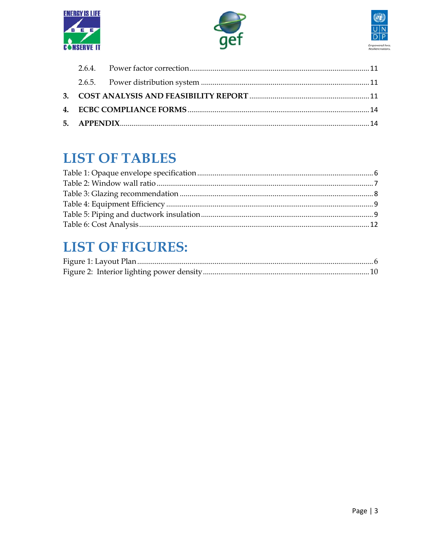





# **LIST OF TABLES**

# **LIST OF FIGURES:**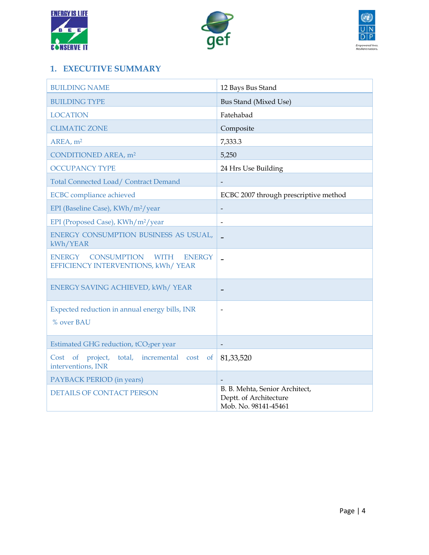





# <span id="page-4-0"></span>**1. EXECUTIVE SUMMARY**

| <b>BUILDING NAME</b>                                                                                      | 12 Bays Bus Stand                                                                |  |
|-----------------------------------------------------------------------------------------------------------|----------------------------------------------------------------------------------|--|
| <b>BUILDING TYPE</b>                                                                                      | <b>Bus Stand (Mixed Use)</b>                                                     |  |
| <b>LOCATION</b>                                                                                           | Fatehabad                                                                        |  |
| <b>CLIMATIC ZONE</b>                                                                                      | Composite                                                                        |  |
| AREA, m <sup>2</sup>                                                                                      | 7,333.3                                                                          |  |
| CONDITIONED AREA, m <sup>2</sup>                                                                          | 5,250                                                                            |  |
| <b>OCCUPANCY TYPE</b>                                                                                     | 24 Hrs Use Building                                                              |  |
| Total Connected Load/ Contract Demand                                                                     |                                                                                  |  |
| <b>ECBC</b> compliance achieved                                                                           | ECBC 2007 through prescriptive method                                            |  |
| EPI (Baseline Case), KWh/m <sup>2</sup> /year                                                             | $\overline{\phantom{a}}$                                                         |  |
| EPI (Proposed Case), KWh/m <sup>2</sup> /year                                                             | $\overline{a}$                                                                   |  |
| ENERGY CONSUMPTION BUSINESS AS USUAL,<br>kWh/YEAR                                                         | $\overline{\phantom{a}}$                                                         |  |
| <b>ENERGY</b><br><b>CONSUMPTION</b><br><b>WITH</b><br><b>ENERGY</b><br>EFFICIENCY INTERVENTIONS, kWh/YEAR | $\overline{\phantom{0}}$                                                         |  |
| ENERGY SAVING ACHIEVED, kWh/YEAR                                                                          |                                                                                  |  |
| Expected reduction in annual energy bills, INR                                                            |                                                                                  |  |
| % over BAU                                                                                                |                                                                                  |  |
| Estimated GHG reduction, tCO <sub>2</sub> per year                                                        |                                                                                  |  |
| project,<br>total, incremental cost<br>Cost of<br><sub>of</sub><br>interventions, INR                     | 81, 33, 520                                                                      |  |
| PAYBACK PERIOD (in years)                                                                                 |                                                                                  |  |
| <b>DETAILS OF CONTACT PERSON</b>                                                                          | B. B. Mehta, Senior Architect,<br>Deptt. of Architecture<br>Mob. No. 98141-45461 |  |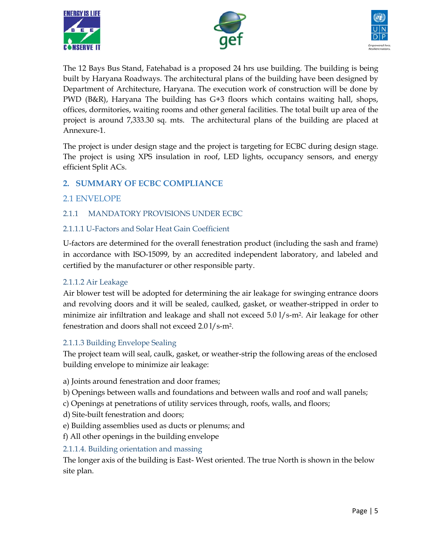





The 12 Bays Bus Stand, Fatehabad is a proposed 24 hrs use building. The building is being built by Haryana Roadways. The architectural plans of the building have been designed by Department of Architecture, Haryana. The execution work of construction will be done by PWD (B&R), Haryana The building has G+3 floors which contains waiting hall, shops, offices, dormitories, waiting rooms and other general facilities. The total built up area of the project is around 7,333.30 sq. mts. The architectural plans of the building are placed at Annexure-1.

The project is under design stage and the project is targeting for ECBC during design stage. The project is using XPS insulation in roof, LED lights, occupancy sensors, and energy efficient Split ACs.

# <span id="page-5-0"></span>**2. SUMMARY OF ECBC COMPLIANCE**

# <span id="page-5-1"></span>2.1 ENVELOPE

### <span id="page-5-2"></span>2.1.1 MANDATORY PROVISIONS UNDER ECBC

#### <span id="page-5-3"></span>2.1.1.1 U-Factors and Solar Heat Gain Coefficient

U-factors are determined for the overall fenestration product (including the sash and frame) in accordance with ISO-15099, by an accredited independent laboratory, and labeled and certified by the manufacturer or other responsible party.

#### <span id="page-5-4"></span>2.1.1.2 Air Leakage

Air blower test will be adopted for determining the air leakage for swinging entrance doors and revolving doors and it will be sealed, caulked, gasket, or weather-stripped in order to minimize air infiltration and leakage and shall not exceed  $5.0 \frac{1}{s-m^2}$ . Air leakage for other fenestration and doors shall not exceed 2.0 l/s-m2.

### 2.1.1.3 Building Envelope Sealing

The project team will seal, caulk, gasket, or weather-strip the following areas of the enclosed building envelope to minimize air leakage:

- a) Joints around fenestration and door frames;
- b) Openings between walls and foundations and between walls and roof and wall panels;
- c) Openings at penetrations of utility services through, roofs, walls, and floors;
- d) Site-built fenestration and doors;
- e) Building assemblies used as ducts or plenums; and
- f) All other openings in the building envelope

### <span id="page-5-5"></span>2.1.1.4. Building orientation and massing

The longer axis of the building is East- West oriented. The true North is shown in the below site plan.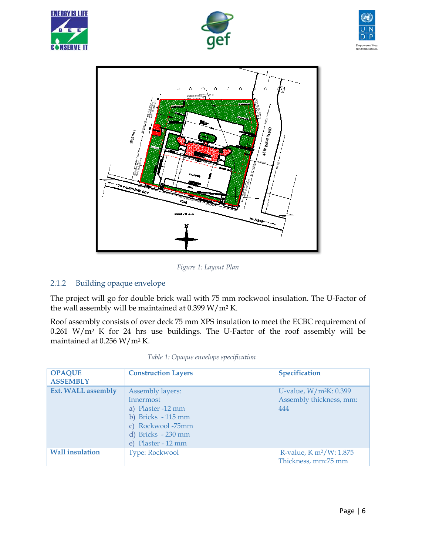







*Figure 1: Layout Plan*

### <span id="page-6-2"></span><span id="page-6-0"></span>2.1.2 Building opaque envelope

The project will go for double brick wall with 75 mm rockwool insulation. The U-Factor of the wall assembly will be maintained at 0.399 W/m<sup>2</sup> K.

Roof assembly consists of over deck 75 mm XPS insulation to meet the ECBC requirement of 0.261 W/m<sup>2</sup> K for 24 hrs use buildings. The U-Factor of the roof assembly will be maintained at 0.256 W/m<sup>2</sup> K.

<span id="page-6-1"></span>

| <b>OPAQUE</b><br><b>ASSEMBLY</b> | <b>Construction Layers</b>                                                                                                                | Specification                                              |
|----------------------------------|-------------------------------------------------------------------------------------------------------------------------------------------|------------------------------------------------------------|
| <b>Ext. WALL assembly</b>        | Assembly layers:<br>Innermost<br>a) Plaster -12 mm<br>b) Bricks $-115$ mm<br>c) Rockwool-75mm<br>d) Bricks - 230 mm<br>e) Plaster - 12 mm | U-value, $W/m^2K: 0.399$<br>Assembly thickness, mm:<br>444 |
| <b>Wall insulation</b>           | Type: Rockwool                                                                                                                            | R-value, $K m^2/W: 1.875$<br>Thickness, mm:75 mm           |

*Table 1: Opaque envelope specification*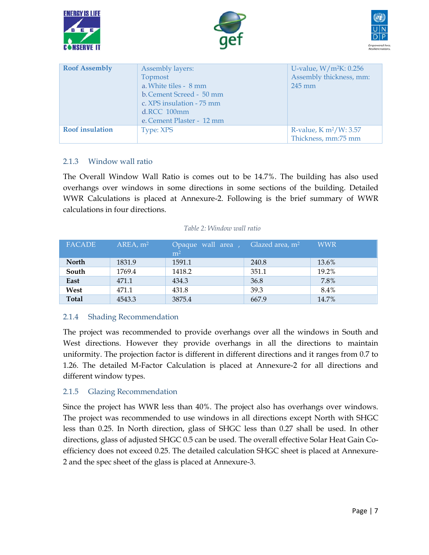





| <b>Roof Assembly</b>   | Assembly layers:<br>Topmost<br>a. White tiles - 8 mm<br>b. Cement Screed - 50 mm<br>c. XPS insulation - 75 mm<br>$d$ .RCC $100$ mm<br>e. Cement Plaster - 12 mm | U-value, $W/m^2K: 0.256$<br>Assembly thickness, mm:<br>$245 \text{ mm}$ |
|------------------------|-----------------------------------------------------------------------------------------------------------------------------------------------------------------|-------------------------------------------------------------------------|
| <b>Roof</b> insulation | Type: XPS                                                                                                                                                       | R-value, $K m^2/W$ : 3.57<br>Thickness, mm:75 mm                        |

#### <span id="page-7-0"></span>2.1.3 Window wall ratio

The Overall Window Wall Ratio is comes out to be 14.7%. The building has also used overhangs over windows in some directions in some sections of the building. Detailed WWR Calculations is placed at Annexure-2. Following is the brief summary of WWR calculations in four directions.

#### *Table 2: Window wall ratio*

<span id="page-7-3"></span>

| <b>FACADE</b> | $AREA$ , $m2$ | Opaque wall area, Glazed area, $m^2$<br>m <sup>2</sup> |       | <b>WWR</b> |
|---------------|---------------|--------------------------------------------------------|-------|------------|
| <b>North</b>  | 1831.9        | 1591.1                                                 | 240.8 | 13.6%      |
| South         | 1769.4        | 1418.2                                                 | 351.1 | 19.2%      |
| East          | 471.1         | 434.3                                                  | 36.8  | 7.8%       |
| West          | 471.1         | 431.8                                                  | 39.3  | 8.4%       |
| <b>Total</b>  | 4543.3        | 3875.4                                                 | 667.9 | 14.7%      |

#### <span id="page-7-1"></span>2.1.4 Shading Recommendation

The project was recommended to provide overhangs over all the windows in South and West directions. However they provide overhangs in all the directions to maintain uniformity. The projection factor is different in different directions and it ranges from 0.7 to 1.26. The detailed M-Factor Calculation is placed at Annexure-2 for all directions and different window types.

#### <span id="page-7-2"></span>2.1.5 Glazing Recommendation

Since the project has WWR less than 40%. The project also has overhangs over windows. The project was recommended to use windows in all directions except North with SHGC less than 0.25. In North direction, glass of SHGC less than 0.27 shall be used. In other directions, glass of adjusted SHGC 0.5 can be used. The overall effective Solar Heat Gain Coefficiency does not exceed 0.25. The detailed calculation SHGC sheet is placed at Annexure-2 and the spec sheet of the glass is placed at Annexure-3.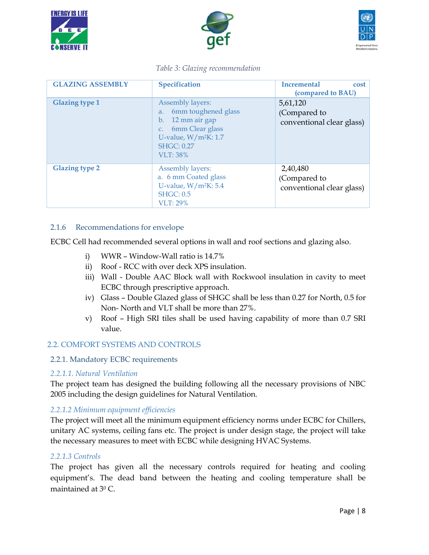





#### *Table 3: Glazing recommendation*

<span id="page-8-3"></span>

| <b>GLAZING ASSEMBLY</b> | Specification                                                                                                                                      | <b>Incremental</b><br>cost<br>(compared to BAU)       |
|-------------------------|----------------------------------------------------------------------------------------------------------------------------------------------------|-------------------------------------------------------|
| <b>Glazing type 1</b>   | Assembly layers:<br>6mm toughened glass<br>a.<br>b. 12 mm air gap<br>c. 6mm Clear glass<br>U-value, $W/m^2K: 1.7$<br><b>SHGC: 0.27</b><br>VLT: 38% | 5,61,120<br>(Compared to<br>conventional clear glass) |
| <b>Glazing type 2</b>   | Assembly layers:<br>a. 6 mm Coated glass<br>U-value, $W/m^2K: 5.4$<br><b>SHGC: 0.5</b><br><b>VLT: 29%</b>                                          | 2,40,480<br>(Compared to<br>conventional clear glass) |

#### <span id="page-8-0"></span>2.1.6 Recommendations for envelope

ECBC Cell had recommended several options in wall and roof sections and glazing also.

- i) WWR Window-Wall ratio is 14.7%
- ii) Roof RCC with over deck XPS insulation.
- iii) Wall Double AAC Block wall with Rockwool insulation in cavity to meet ECBC through prescriptive approach.
- iv) Glass Double Glazed glass of SHGC shall be less than 0.27 for North, 0.5 for Non- North and VLT shall be more than 27%.
- v) Roof High SRI tiles shall be used having capability of more than 0.7 SRI value.

### <span id="page-8-1"></span>2.2. COMFORT SYSTEMS AND CONTROLS

### <span id="page-8-2"></span>2.2.1. Mandatory ECBC requirements

### *2.2.1.1. Natural Ventilation*

The project team has designed the building following all the necessary provisions of NBC 2005 including the design guidelines for Natural Ventilation.

#### *2.2.1.2 Minimum equipment efficiencies*

The project will meet all the minimum equipment efficiency norms under ECBC for Chillers, unitary AC systems, ceiling fans etc. The project is under design stage, the project will take the necessary measures to meet with ECBC while designing HVAC Systems.

#### *2.2.1.3 Controls*

The project has given all the necessary controls required for heating and cooling equipment's. The dead band between the heating and cooling temperature shall be maintained at 3<sup>0</sup> C.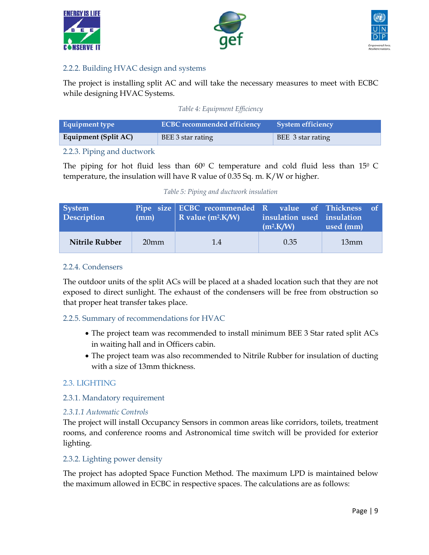





#### <span id="page-9-0"></span>2.2.2. Building HVAC design and systems

The project is installing split AC and will take the necessary measures to meet with ECBC while designing HVAC Systems.

#### *Table 4: Equipment Efficiency*

<span id="page-9-7"></span>

| Equipment type       | <b>ECBC</b> recommended efficiency | <b>System efficiency</b> |
|----------------------|------------------------------------|--------------------------|
| Equipment (Split AC) | BEE 3 star rating                  | BEE 3 star rating        |

#### <span id="page-9-1"></span>2.2.3. Piping and ductwork

The piping for hot fluid less than  $60^{\circ}$  C temperature and cold fluid less than  $15^{\circ}$  C temperature, the insulation will have R value of 0.35 Sq. m. K/W or higher.

|  |  |  |  | Table 5: Piping and ductwork insulation |
|--|--|--|--|-----------------------------------------|
|--|--|--|--|-----------------------------------------|

<span id="page-9-8"></span>

| <b>System</b><br>Description | (mm)             | Pipe size ECBC recommended R value of Thickness of<br>R value $(m^2.K/W)$ | insulation used insulation<br>$(m^2$ K/W) | $\vert$ used (mm) |  |
|------------------------------|------------------|---------------------------------------------------------------------------|-------------------------------------------|-------------------|--|
| Nitrile Rubber               | 20 <sub>mm</sub> | 1.4                                                                       | 0.35                                      | 13mm              |  |

#### <span id="page-9-2"></span>2.2.4. Condensers

The outdoor units of the split ACs will be placed at a shaded location such that they are not exposed to direct sunlight. The exhaust of the condensers will be free from obstruction so that proper heat transfer takes place.

#### <span id="page-9-3"></span>2.2.5. Summary of recommendations for HVAC

- The project team was recommended to install minimum BEE 3 Star rated split ACs in waiting hall and in Officers cabin.
- The project team was also recommended to Nitrile Rubber for insulation of ducting with a size of 13mm thickness.

### <span id="page-9-4"></span>2.3. LIGHTING

#### <span id="page-9-5"></span>2.3.1. Mandatory requirement

#### *2.3.1.1 Automatic Controls*

The project will install Occupancy Sensors in common areas like corridors, toilets, treatment rooms, and conference rooms and Astronomical time switch will be provided for exterior lighting.

#### <span id="page-9-6"></span>2.3.2. Lighting power density

The project has adopted Space Function Method. The maximum LPD is maintained below the maximum allowed in ECBC in respective spaces. The calculations are as follows: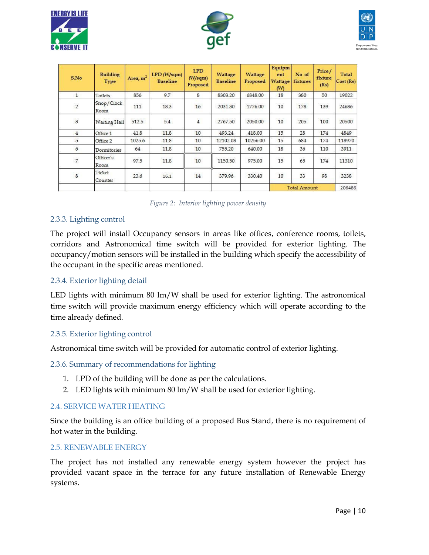





| S.No                    | <b>Building</b><br>Type | Area, $m2$ | $LPD$ (W/sqm)<br><b>Baseline</b> | <b>LPD</b><br>(W/sqm)<br>Proposed | Wattage<br><b>Baseline</b> | Wattage<br>Proposed | Equipm<br>ent<br><b>Wattage</b><br>(W) | No of<br>fixtures   | Price/<br>fixture<br>(Rs) | Total<br>Cost (Rs) |
|-------------------------|-------------------------|------------|----------------------------------|-----------------------------------|----------------------------|---------------------|----------------------------------------|---------------------|---------------------------|--------------------|
| $\mathbf{1}$            | Toilets                 | 856        | 9.7                              | 8                                 | 8303.20                    | 6848.00             | 18                                     | 380                 | 50                        | 19022              |
| $\overline{2}$          | Shop/Clock<br>Room      | 111        | 18.3                             | 16                                | 2031.30                    | 1776.00             | 10                                     | 178                 | 139                       | 24686              |
| $\overline{3}$          | <b>Waiting Hall</b>     | 512.5      | 5.4                              | $\overline{4}$                    | 2767.50                    | 2050.00             | 10                                     | 205                 | 100                       | 20500              |
| $\overline{4}$          | Office 1                | 41.8       | 11.8                             | 10                                | 493.24                     | 418.00              | 15                                     | 28                  | 174                       | 4849               |
| 5                       | Office 2                | 1025.6     | 11.8                             | 10                                | 12102.08                   | 10256.00            | 15                                     | 684                 | 174                       | 118970             |
| 6                       | Dormitories             | 64         | 11.8                             | 10                                | 755.20                     | 640.00              | 18                                     | 36                  | 110                       | 3911               |
| $\overline{7}$          | Officer's<br>Room       | 97.5       | 11.8                             | 10                                | 1150.50                    | 975.00              | 15                                     | 65                  | 174                       | 11310              |
| $\overline{\mathbf{8}}$ | Ticket<br>Counter       | 23.6       | 16.1                             | 14                                | 379.96                     | 330.40              | 10                                     | 33                  | 98                        | 3238               |
|                         |                         |            |                                  |                                   |                            |                     |                                        | <b>Total Amount</b> |                           | 206486             |

#### <span id="page-10-6"></span><span id="page-10-0"></span>2.3.3. Lighting control

The project will install Occupancy sensors in areas like offices, conference rooms, toilets, corridors and Astronomical time switch will be provided for exterior lighting. The occupancy/motion sensors will be installed in the building which specify the accessibility of the occupant in the specific areas mentioned.

#### <span id="page-10-1"></span>2.3.4. Exterior lighting detail

LED lights with minimum 80 lm/W shall be used for exterior lighting. The astronomical time switch will provide maximum energy efficiency which will operate according to the time already defined.

#### <span id="page-10-2"></span>2.3.5. Exterior lighting control

Astronomical time switch will be provided for automatic control of exterior lighting.

<span id="page-10-3"></span>2.3.6. Summary of recommendations for lighting

- 1. LPD of the building will be done as per the calculations.
- 2. LED lights with minimum 80 lm/W shall be used for exterior lighting.

### <span id="page-10-4"></span>2.4. SERVICE WATER HEATING

Since the building is an office building of a proposed Bus Stand, there is no requirement of hot water in the building.

#### <span id="page-10-5"></span>2.5. RENEWABLE ENERGY

The project has not installed any renewable energy system however the project has provided vacant space in the terrace for any future installation of Renewable Energy systems.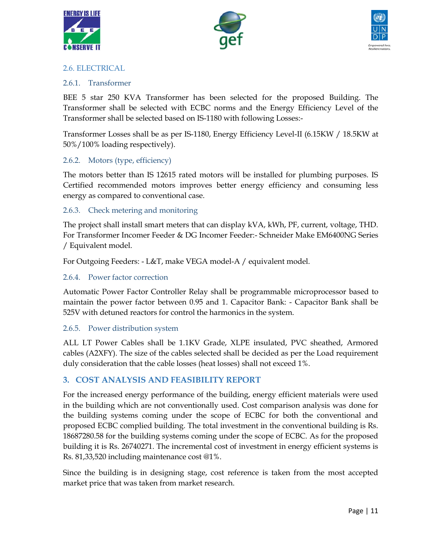





#### <span id="page-11-0"></span>2.6. ELECTRICAL

#### <span id="page-11-1"></span>2.6.1. Transformer

BEE 5 star 250 KVA Transformer has been selected for the proposed Building. The Transformer shall be selected with ECBC norms and the Energy Efficiency Level of the Transformer shall be selected based on IS-1180 with following Losses:-

Transformer Losses shall be as per IS-1180, Energy Efficiency Level-II (6.15KW / 18.5KW at 50%/100% loading respectively).

### <span id="page-11-2"></span>2.6.2. Motors (type, efficiency)

The motors better than IS 12615 rated motors will be installed for plumbing purposes. IS Certified recommended motors improves better energy efficiency and consuming less energy as compared to conventional case.

### <span id="page-11-3"></span>2.6.3. Check metering and monitoring

The project shall install smart meters that can display kVA, kWh, PF, current, voltage, THD. For Transformer Incomer Feeder & DG Incomer Feeder:- Schneider Make EM6400NG Series / Equivalent model.

For Outgoing Feeders: - L&T, make VEGA model-A / equivalent model.

#### <span id="page-11-4"></span>2.6.4. Power factor correction

Automatic Power Factor Controller Relay shall be programmable microprocessor based to maintain the power factor between 0.95 and 1. Capacitor Bank: - Capacitor Bank shall be 525V with detuned reactors for control the harmonics in the system.

#### <span id="page-11-5"></span>2.6.5. Power distribution system

ALL LT Power Cables shall be 1.1KV Grade, XLPE insulated, PVC sheathed, Armored cables (A2XFY). The size of the cables selected shall be decided as per the Load requirement duly consideration that the cable losses (heat losses) shall not exceed 1%.

# <span id="page-11-6"></span>**3. COST ANALYSIS AND FEASIBILITY REPORT**

For the increased energy performance of the building, energy efficient materials were used in the building which are not conventionally used. Cost comparison analysis was done for the building systems coming under the scope of ECBC for both the conventional and proposed ECBC complied building. The total investment in the conventional building is Rs. 18687280.58 for the building systems coming under the scope of ECBC. As for the proposed building it is Rs. 26740271. The incremental cost of investment in energy efficient systems is Rs. 81,33,520 including maintenance cost @1%.

Since the building is in designing stage, cost reference is taken from the most accepted market price that was taken from market research.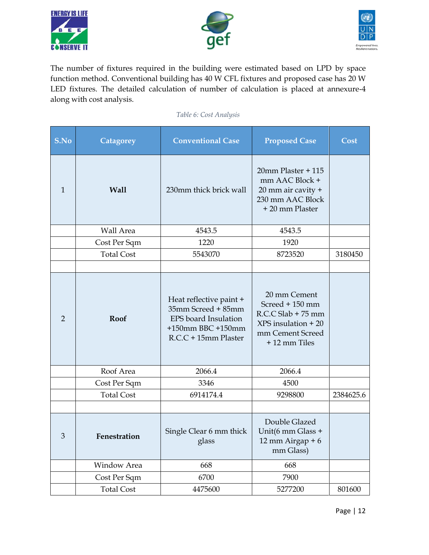





The number of fixtures required in the building were estimated based on LPD by space function method. Conventional building has 40 W CFL fixtures and proposed case has 20 W LED fixtures. The detailed calculation of number of calculation is placed at annexure-4 along with cost analysis.

#### *Table 6: Cost Analysis*

<span id="page-12-0"></span>

| S.No           | Catagorey         | <b>Conventional Case</b>                                                                                           | <b>Proposed Case</b>                                                                                                  | Cost      |
|----------------|-------------------|--------------------------------------------------------------------------------------------------------------------|-----------------------------------------------------------------------------------------------------------------------|-----------|
| $\mathbf{1}$   | <b>Wall</b>       | 230mm thick brick wall                                                                                             | 20mm Plaster + 115<br>mm AAC Block +<br>20 mm air cavity +<br>230 mm AAC Block<br>+ 20 mm Plaster                     |           |
|                | Wall Area         | 4543.5                                                                                                             | 4543.5                                                                                                                |           |
|                | Cost Per Sqm      | 1220                                                                                                               | 1920                                                                                                                  |           |
|                | <b>Total Cost</b> | 5543070                                                                                                            | 8723520                                                                                                               | 3180450   |
|                |                   |                                                                                                                    |                                                                                                                       |           |
| $\overline{2}$ | <b>Roof</b>       | Heat reflective paint +<br>35mm Screed + 85mm<br>EPS board Insulation<br>+150mm BBC +150mm<br>R.C.C + 15mm Plaster | 20 mm Cement<br>Screed + 150 mm<br>$R.C.C.$ Slab + 75 mm<br>$XPS$ insulation + 20<br>mm Cement Screed<br>+12 mm Tiles |           |
|                | Roof Area         | 2066.4                                                                                                             | 2066.4                                                                                                                |           |
|                | Cost Per Sqm      | 3346                                                                                                               | 4500                                                                                                                  |           |
|                | <b>Total Cost</b> | 6914174.4                                                                                                          | 9298800                                                                                                               | 2384625.6 |
|                |                   |                                                                                                                    |                                                                                                                       |           |
| 3              | Fenestration      | Single Clear 6 mm thick<br>glass                                                                                   | Double Glazed<br>Unit(6 mm Glass +<br>12 mm Airgap + $6$<br>mm Glass)                                                 |           |
|                | Window Area       | 668                                                                                                                | 668                                                                                                                   |           |
|                | Cost Per Sqm      | 6700                                                                                                               | 7900                                                                                                                  |           |
|                | <b>Total Cost</b> | 4475600                                                                                                            | 5277200                                                                                                               | 801600    |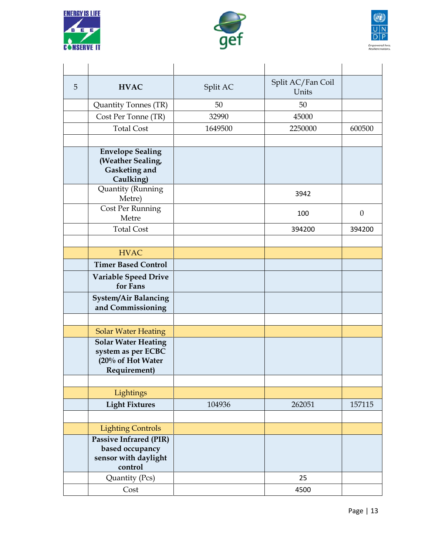





| 5 | <b>HVAC</b>                                                                                                         | Split AC | Split AC/Fan Coil<br>Units |                  |
|---|---------------------------------------------------------------------------------------------------------------------|----------|----------------------------|------------------|
|   | Quantity Tonnes (TR)                                                                                                | 50       | 50                         |                  |
|   | Cost Per Tonne (TR)                                                                                                 | 32990    | 45000                      |                  |
|   | <b>Total Cost</b>                                                                                                   | 1649500  | 2250000                    | 600500           |
|   |                                                                                                                     |          |                            |                  |
|   | <b>Envelope Sealing</b><br>(Weather Sealing,<br>Gasketing and<br>Caulking)                                          |          |                            |                  |
|   | Quantity (Running<br>Metre)                                                                                         |          | 3942                       |                  |
|   | Cost Per Running<br>Metre                                                                                           |          | 100                        | $\boldsymbol{0}$ |
|   | <b>Total Cost</b>                                                                                                   |          | 394200                     | 394200           |
|   |                                                                                                                     |          |                            |                  |
|   | <b>HVAC</b>                                                                                                         |          |                            |                  |
|   | <b>Timer Based Control</b>                                                                                          |          |                            |                  |
|   | <b>Variable Speed Drive</b><br>for Fans                                                                             |          |                            |                  |
|   | <b>System/Air Balancing</b><br>and Commissioning                                                                    |          |                            |                  |
|   |                                                                                                                     |          |                            |                  |
|   | <b>Solar Water Heating</b><br><b>Solar Water Heating</b><br>system as per ECBC<br>(20% of Hot Water<br>Requirement) |          |                            |                  |
|   |                                                                                                                     |          |                            |                  |
|   | Lightings                                                                                                           |          |                            |                  |
|   | <b>Light Fixtures</b>                                                                                               | 104936   | 262051                     | 157115           |
|   | <b>Lighting Controls</b>                                                                                            |          |                            |                  |
|   | <b>Passive Infrared (PIR)</b><br>based occupancy<br>sensor with daylight<br>control                                 |          |                            |                  |
|   | Quantity (Pcs)                                                                                                      |          | 25                         |                  |
|   | Cost                                                                                                                |          | 4500                       |                  |